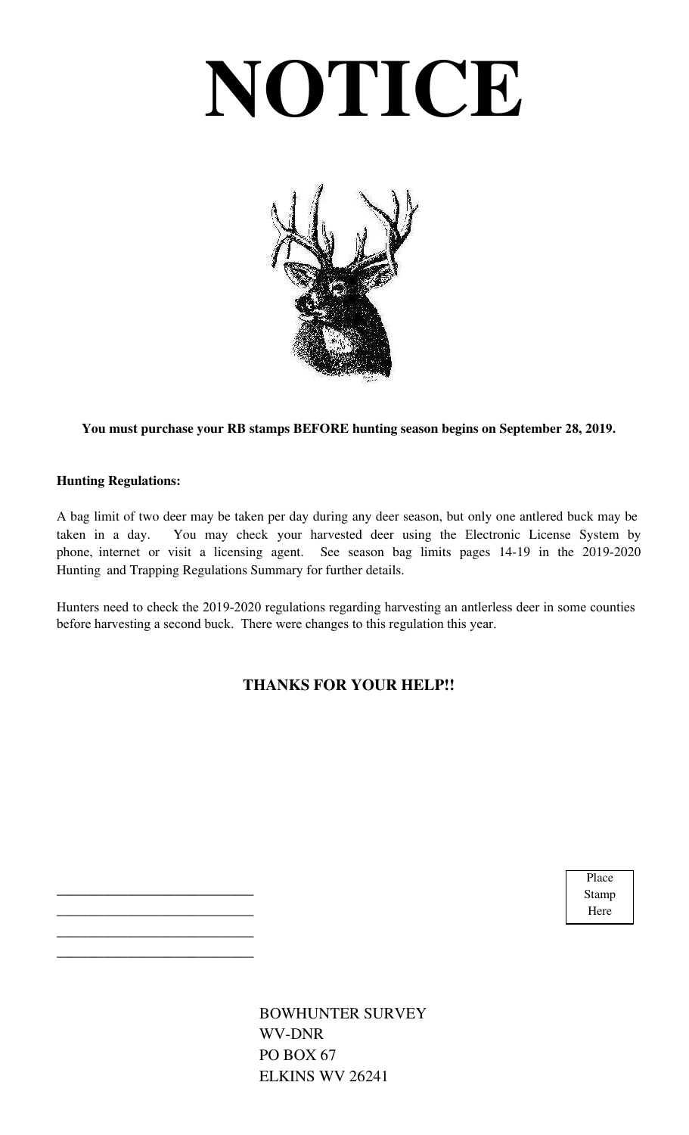# **NOTICE**



**You must purchase your RB stamps BEFORE hunting season begins on September 28, 2019.**

#### **Hunting Regulations:**

\_\_\_\_\_\_\_\_\_\_\_\_\_\_\_\_\_\_\_\_\_\_\_\_\_ \_\_\_\_\_\_\_\_\_\_\_\_\_\_\_\_\_\_\_\_\_\_\_\_\_ \_\_\_\_\_\_\_\_\_\_\_\_\_\_\_\_\_\_\_\_\_\_\_\_\_ \_\_\_\_\_\_\_\_\_\_\_\_\_\_\_\_\_\_\_\_\_\_\_\_\_

A bag limit of two deer may be taken per day during any deer season, but only one antlered buck may be taken in a day. You may check your harvested deer using the Electronic License System by phone, internet or visit a licensing agent. See season bag limits pages 14-19 in the 2019-2020 Hunting and Trapping Regulations Summary for further details.

Hunters need to check the 2019-2020 regulations regarding harvesting an antlerless deer in some counties before harvesting a second buck. There were changes to this regulation this year.

### **THANKS FOR YOUR HELP!!**

Place Stamp Here

BOWHUNTER SURVEY WV-DNR PO BOX 67 ELKINS WV 26241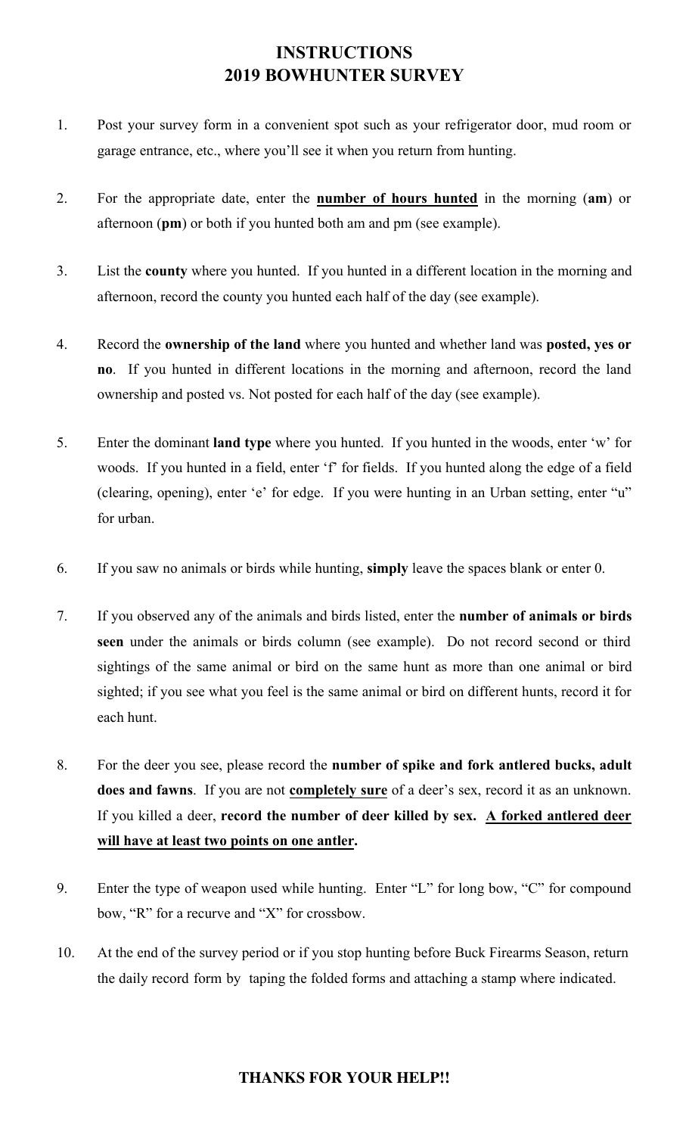# **INSTRUCTIONS 2019 BOWHUNTER SURVEY**

- 1. Post your survey form in a convenient spot such as your refrigerator door, mud room or garage entrance, etc., where you'll see it when you return from hunting.
- 2. For the appropriate date, enter the **number of hours hunted** in the morning (**am**) or afternoon (**pm**) or both if you hunted both am and pm (see example).
- 3. List the **county** where you hunted. If you hunted in a different location in the morning and afternoon, record the county you hunted each half of the day (see example).
- 4. Record the **ownership of the land** where you hunted and whether land was **posted, yes or no**. If you hunted in different locations in the morning and afternoon, record the land ownership and posted vs. Not posted for each half of the day (see example).
- 5. Enter the dominant **land type** where you hunted. If you hunted in the woods, enter 'w' for woods. If you hunted in a field, enter 'f' for fields. If you hunted along the edge of a field (clearing, opening), enter 'e' for edge. If you were hunting in an Urban setting, enter "u" for urban.
- 6. If you saw no animals or birds while hunting, **simply** leave the spaces blank or enter 0.
- 7. If you observed any of the animals and birds listed, enter the **number of animals or birds seen** under the animals or birds column (see example). Do not record second or third sightings of the same animal or bird on the same hunt as more than one animal or bird sighted; if you see what you feel is the same animal or bird on different hunts, record it for each hunt.
- 8. For the deer you see, please record the **number of spike and fork antlered bucks, adult does and fawns**. If you are not **completely sure** of a deer's sex, record it as an unknown. If you killed a deer, **record the number of deer killed by sex. A forked antlered deer will have at least two points on one antler.**
- 9. Enter the type of weapon used while hunting. Enter "L" for long bow, "C" for compound bow, "R" for a recurve and "X" for crossbow.
- 10. At the end of the survey period or if you stop hunting before Buck Firearms Season, return the daily record form by taping the folded forms and attaching a stamp where indicated.

#### **THANKS FOR YOUR HELP!!**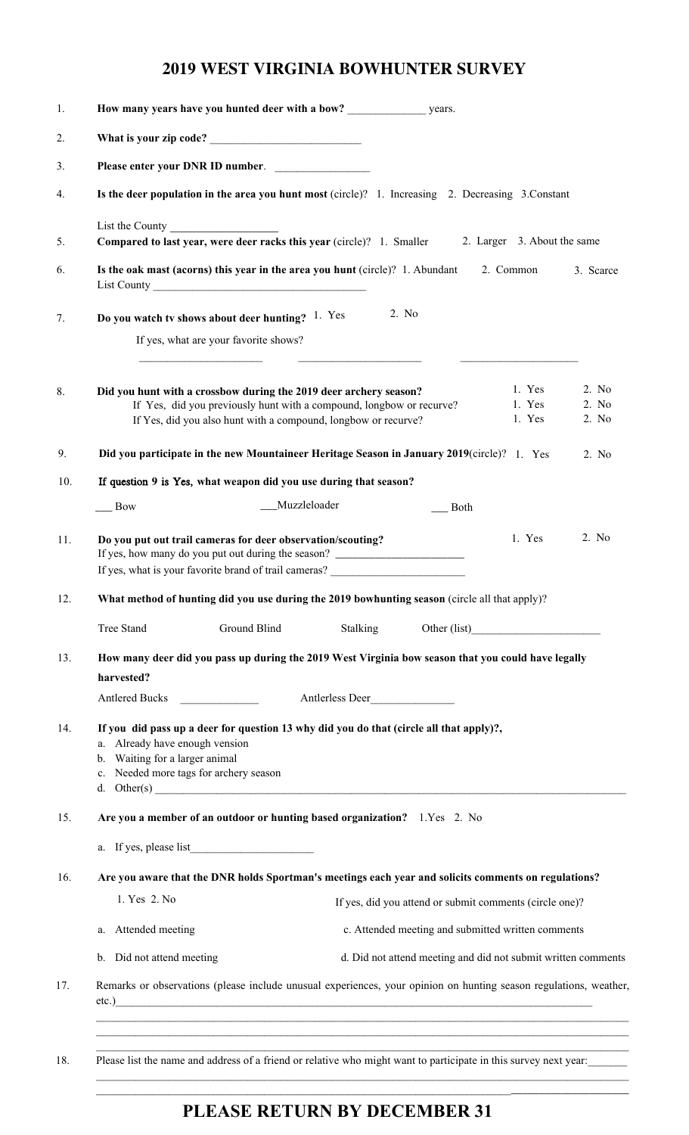## **2019 WEST VIRGINIA BOWHUNTER SURVEY**

| Please enter your DNR ID number.                                                                                                                                                                                                     |                                                                                                                                        |              |                 |             |                                                               |                         |
|--------------------------------------------------------------------------------------------------------------------------------------------------------------------------------------------------------------------------------------|----------------------------------------------------------------------------------------------------------------------------------------|--------------|-----------------|-------------|---------------------------------------------------------------|-------------------------|
| Is the deer population in the area you hunt most (circle)? 1. Increasing 2. Decreasing 3. Constant                                                                                                                                   |                                                                                                                                        |              |                 |             |                                                               |                         |
| List the County<br>Compared to last year, were deer racks this year (circle)? 1. Smaller                                                                                                                                             |                                                                                                                                        |              |                 |             | 2. Larger 3. About the same                                   |                         |
| Is the oak mast (acorns) this year in the area you hunt (circle)? 1. Abundant                                                                                                                                                        |                                                                                                                                        |              |                 |             | 2. Common                                                     | 3. Scarce               |
| Do you watch tv shows about deer hunting? 1. Yes                                                                                                                                                                                     | If yes, what are your favorite shows?                                                                                                  |              | 2. No           |             |                                                               |                         |
| Did you hunt with a crossbow during the 2019 deer archery season?                                                                                                                                                                    | If Yes, did you previously hunt with a compound, longbow or recurve?<br>If Yes, did you also hunt with a compound, longbow or recurve? |              |                 |             | 1. Yes<br>1. Yes<br>1. Yes                                    | 2. No<br>2. No<br>2. No |
| Did you participate in the new Mountaineer Heritage Season in January 2019(circle)? 1. Yes                                                                                                                                           |                                                                                                                                        |              |                 |             |                                                               | 2. No                   |
| If question 9 is Yes, what weapon did you use during that season?                                                                                                                                                                    |                                                                                                                                        |              |                 |             |                                                               |                         |
| $\qquad$ Bow                                                                                                                                                                                                                         |                                                                                                                                        | Muzzleloader |                 | $\Box$ Both |                                                               |                         |
| Do you put out trail cameras for deer observation/scouting?                                                                                                                                                                          |                                                                                                                                        |              |                 |             |                                                               | 2. No                   |
| If yes, how many do you put out during the season?<br>If yes, what is your favorite brand of trail cameras?                                                                                                                          |                                                                                                                                        |              |                 |             | 1. Yes                                                        |                         |
| What method of hunting did you use during the 2019 bowhunting season (circle all that apply)?                                                                                                                                        |                                                                                                                                        |              |                 |             |                                                               |                         |
| Tree Stand                                                                                                                                                                                                                           | Ground Blind                                                                                                                           |              |                 |             | Stalking Other (list)<br><u>Other (list)</u>                  |                         |
| How many deer did you pass up during the 2019 West Virginia bow season that you could have legally                                                                                                                                   |                                                                                                                                        |              |                 |             |                                                               |                         |
| harvested?                                                                                                                                                                                                                           |                                                                                                                                        |              |                 |             |                                                               |                         |
| Antlered Bucks                                                                                                                                                                                                                       |                                                                                                                                        |              | Antlerless Deer |             |                                                               |                         |
| If you did pass up a deer for question 13 why did you do that (circle all that apply)?,<br>a. Already have enough vension<br>b. Waiting for a larger animal<br>c. Needed more tags for archery season<br>d. Other(s) $\qquad \qquad$ |                                                                                                                                        |              |                 |             |                                                               |                         |
| Are you a member of an outdoor or hunting based organization? 1.Yes 2. No                                                                                                                                                            |                                                                                                                                        |              |                 |             |                                                               |                         |
|                                                                                                                                                                                                                                      |                                                                                                                                        |              |                 |             |                                                               |                         |
| Are you aware that the DNR holds Sportman's meetings each year and solicits comments on regulations?                                                                                                                                 |                                                                                                                                        |              |                 |             |                                                               |                         |
| 1. Yes 2. No                                                                                                                                                                                                                         |                                                                                                                                        |              |                 |             | If yes, did you attend or submit comments (circle one)?       |                         |
| a. Attended meeting                                                                                                                                                                                                                  |                                                                                                                                        |              |                 |             | c. Attended meeting and submitted written comments            |                         |
| b. Did not attend meeting                                                                                                                                                                                                            |                                                                                                                                        |              |                 |             | d. Did not attend meeting and did not submit written comments |                         |
| Remarks or observations (please include unusual experiences, your opinion on hunting season regulations, weather,<br>etc.)                                                                                                           |                                                                                                                                        |              |                 |             |                                                               |                         |

# **PLEASE RETURN BY DECEMBER 31**

 $\_$  ,  $\_$  ,  $\_$  ,  $\_$  ,  $\_$  ,  $\_$  ,  $\_$  ,  $\_$  ,  $\_$  ,  $\_$  ,  $\_$  ,  $\_$  ,  $\_$  ,  $\_$  ,  $\_$  ,  $\_$  ,  $\_$  ,  $\_$  ,  $\_$  ,  $\_$  ,  $\_$  ,  $\_$  ,  $\_$  ,  $\_$  ,  $\_$  ,  $\_$  ,  $\_$  ,  $\_$  ,  $\_$  ,  $\_$  ,  $\_$  ,  $\_$  ,  $\_$  ,  $\_$  ,  $\_$  ,  $\_$  ,  $\_$  , \_\_\_\_\_\_\_\_\_\_\_\_\_\_\_\_\_\_\_\_\_\_\_\_\_\_\_\_\_\_\_\_\_\_\_\_\_\_\_\_\_\_\_\_\_\_\_\_\_\_\_\_\_\_\_\_\_\_\_\_\_\_\_\_\_\_\_\_\_\_\_\_\_\_\_\_\_\_\_\_\_\_\_\_\_\_\_\_\_\_\_\_\_\_\_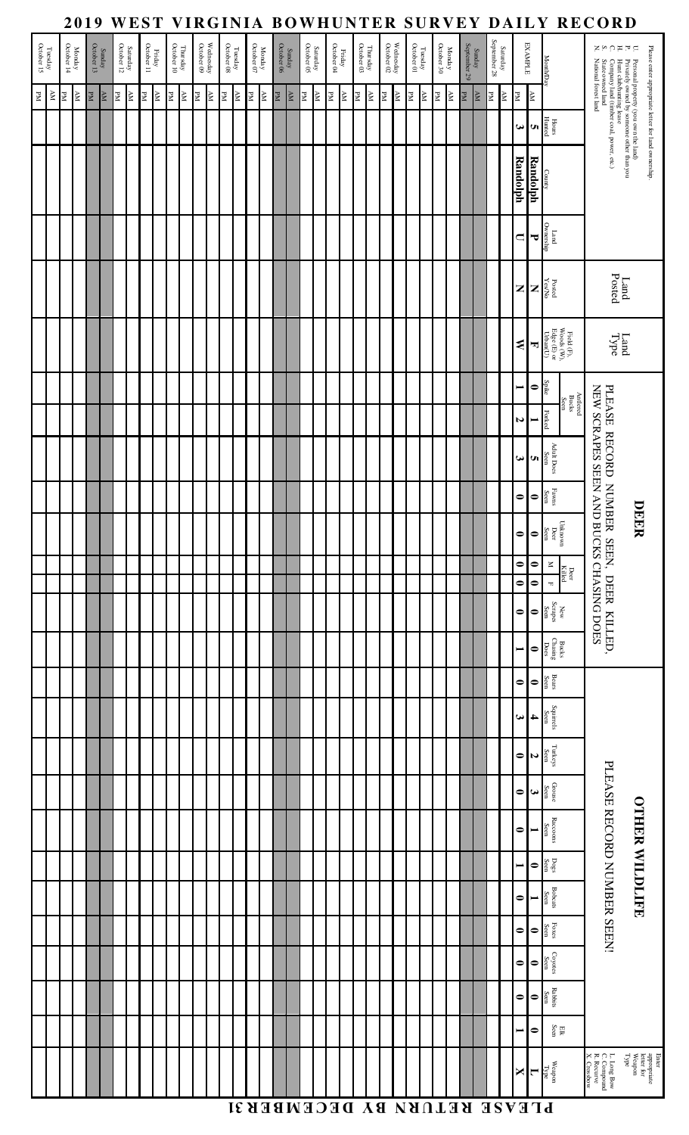|                       |            |                      | 2019        |                      |                     |    |                        |    |                      |    |                        |    |                         |                                                |    |                   |    |                      |             |    |                         |    |                                       |                        |    |    |                         |    |                                                                    |    |                      |              |                                   |                          |             |                          |                              | WEST VIRGINIA BOWHUNTER SURVEY DAILY RECORD                                    |                                                                                                                                                                              |                                                              |
|-----------------------|------------|----------------------|-------------|----------------------|---------------------|----|------------------------|----|----------------------|----|------------------------|----|-------------------------|------------------------------------------------|----|-------------------|----|----------------------|-------------|----|-------------------------|----|---------------------------------------|------------------------|----|----|-------------------------|----|--------------------------------------------------------------------|----|----------------------|--------------|-----------------------------------|--------------------------|-------------|--------------------------|------------------------------|--------------------------------------------------------------------------------|------------------------------------------------------------------------------------------------------------------------------------------------------------------------------|--------------------------------------------------------------|
| Tuesday<br>October 15 |            | Monday<br>October 14 |             | Sunday<br>October 13 |                     |    | Saturday<br>October 12 |    | Friday<br>October 11 |    | Thursday<br>October 10 |    | Wednesday<br>October 09 | $\frac{\Gamma \text{weak}}{\text{October 08}}$ |    | Monday October 07 |    | Sunday<br>October 06 |             |    | Saturday<br>October 05  |    | ${\rm Friday} \over {\rm October~04}$ | Thursday<br>October 03 |    |    | We dnesday October 02   |    | $\begin{array}{c} \text{Theaday} \\ \text{October 01} \end{array}$ |    | Monday<br>October 30 | September 29 | Sunday                            | Saturday<br>September 28 |             |                          | <b>EXAMPLE</b>               | Month/Day                                                                      | いいにはいい                                                                                                                                                                       | Please enter appropriate letter for land ownership.          |
| $_{\rm Nd}$           | $_{\rm N}$ | PМ                   | $_{\rm NN}$ | PМ                   | $\Delta \mathbf{M}$ | PМ | $\mathbb N$            | PМ | $\Delta \mathbf{M}$  | PМ | $_{\rm AN}$            | PМ | $\mathbb N$             | $\frac{\text{AM}}{\text{PM}}$                  | PМ |                   | AM | $_{\rm PM}$          | $\mathbb N$ | PM | $\overline{\mathbf{K}}$ | PМ | $\geq$                                | PМ                     | ΚĀ | PМ | $\overline{\mathbf{M}}$ | PМ | $\mathbb N$                                                        | PМ | $\geq$               | PМ           | $\overline{\texttt{N}\texttt{V}}$ | $_{\rm PM}$              | $_{\rm AM}$ | PМ                       | $\mathbb{R}^N$               |                                                                                |                                                                                                                                                                              |                                                              |
|                       |            |                      |             |                      |                     |    |                        |    |                      |    |                        |    |                         |                                                |    |                   |    |                      |             |    |                         |    |                                       |                        |    |    |                         |    |                                                                    |    |                      |              |                                   |                          |             | $\bm{\omega}$            | <b>UT</b>                    | Hours<br>Hunted                                                                |                                                                                                                                                                              |                                                              |
|                       |            |                      |             |                      |                     |    |                        |    |                      |    |                        |    |                         |                                                |    |                   |    |                      |             |    |                         |    |                                       |                        |    |    |                         |    |                                                                    |    |                      |              |                                   |                          |             | <b>Randolph</b>          | Randolph                     | County                                                                         | $P$ Fersonal property (you own the land)<br>Frivately owned by someone other than you<br>Company land (timber coal, power, etc.)<br>State owned land<br>National forest land |                                                              |
|                       |            |                      |             |                      |                     |    |                        |    |                      |    |                        |    |                         |                                                |    |                   |    |                      |             |    |                         |    |                                       |                        |    |    |                         |    |                                                                    |    |                      |              |                                   |                          |             | $\Box$                   | ᠊ᠯ                           | Land<br>Ownership                                                              |                                                                                                                                                                              |                                                              |
|                       |            |                      |             |                      |                     |    |                        |    |                      |    |                        |    |                         |                                                |    |                   |    |                      |             |    |                         |    |                                       |                        |    |    |                         |    |                                                                    |    |                      |              |                                   |                          |             | Z                        | $\mathbf{z}$                 | Posted<br>Yes/No                                                               |                                                                                                                                                                              | Land<br>Posted                                               |
|                       |            |                      |             |                      |                     |    |                        |    |                      |    |                        |    |                         |                                                |    |                   |    |                      |             |    |                         |    |                                       |                        |    |    |                         |    |                                                                    |    |                      |              |                                   |                          |             | ⋞                        | 뉙                            | Field (F),<br>Woods (W),<br>Edge (E) or<br>Urban(U)                            |                                                                                                                                                                              | Land<br>Type                                                 |
|                       |            |                      |             |                      |                     |    |                        |    |                      |    |                        |    |                         |                                                |    |                   |    |                      |             |    |                         |    |                                       |                        |    |    |                         |    |                                                                    |    |                      |              |                                   |                          |             | $\overline{\phantom{a}}$ | $\bullet$                    | Spike                                                                          |                                                                                                                                                                              |                                                              |
|                       |            |                      |             |                      |                     |    |                        |    |                      |    |                        |    |                         |                                                |    |                   |    |                      |             |    |                         |    |                                       |                        |    |    |                         |    |                                                                    |    |                      |              |                                   |                          |             | N                        | $\blacksquare$               | Antlered<br>Bucks<br>Seen<br>Forked                                            |                                                                                                                                                                              |                                                              |
|                       |            |                      |             |                      |                     |    |                        |    |                      |    |                        |    |                         |                                                |    |                   |    |                      |             |    |                         |    |                                       |                        |    |    |                         |    |                                                                    |    |                      |              |                                   |                          |             | ω                        | <b>UI</b>                    | Adult Does<br>Seen                                                             | NEW SCRAPES SEEN AND                                                                                                                                                         |                                                              |
|                       |            |                      |             |                      |                     |    |                        |    |                      |    |                        |    |                         |                                                |    |                   |    |                      |             |    |                         |    |                                       |                        |    |    |                         |    |                                                                    |    |                      |              |                                   |                          |             | $\bullet$                | $\bullet$                    | $_{\rm{Favns}}$ $_{\rm{Seen}}$                                                 |                                                                                                                                                                              |                                                              |
|                       |            |                      |             |                      |                     |    |                        |    |                      |    |                        |    |                         |                                                |    |                   |    |                      |             |    |                         |    |                                       |                        |    |    |                         |    |                                                                    |    |                      |              |                                   |                          |             | $\bullet$                | $\bullet$                    | Unknown<br>Deer<br>Seen                                                        | PLEASE RECORD NUMBER SEEN, DEER KILLED,                                                                                                                                      | DEER                                                         |
|                       |            |                      |             |                      |                     |    |                        |    |                      |    |                        |    |                         |                                                |    |                   |    |                      |             |    |                         |    |                                       |                        |    |    |                         |    |                                                                    |    |                      |              |                                   |                          |             | $\bullet$                | $\bullet$                    | $\,\leq$<br>Deer<br>Killed                                                     |                                                                                                                                                                              |                                                              |
|                       |            |                      |             |                      |                     |    |                        |    |                      |    |                        |    |                         |                                                |    |                   |    |                      |             |    |                         |    |                                       |                        |    |    |                         |    |                                                                    |    |                      |              |                                   |                          |             | $\bullet$                | $\bullet$                    | $\blacksquare$                                                                 |                                                                                                                                                                              |                                                              |
|                       |            |                      |             |                      |                     |    |                        |    |                      |    |                        |    |                         |                                                |    |                   |    |                      |             |    |                         |    |                                       |                        |    |    |                         |    |                                                                    |    |                      |              |                                   |                          |             | $\bullet$                | $\bullet$                    | $\begin{array}{c} {\rm New} \\ {\rm Scapes} \end{array}$                       | <b>BUCKS CHASING DOES</b>                                                                                                                                                    |                                                              |
|                       |            |                      |             |                      |                     |    |                        |    |                      |    |                        |    |                         |                                                |    |                   |    |                      |             |    |                         |    |                                       |                        |    |    |                         |    |                                                                    |    |                      |              |                                   |                          |             | $\overline{\phantom{a}}$ | $\bullet$                    | $\begin{array}{c}\n\text{Bucks} \\ \text{Chasing} \\ \text{Does}\n\end{array}$ |                                                                                                                                                                              |                                                              |
|                       |            |                      |             |                      |                     |    |                        |    |                      |    |                        |    |                         |                                                |    |                   |    |                      |             |    |                         |    |                                       |                        |    |    |                         |    |                                                                    |    |                      |              |                                   |                          |             | $\bullet$                | $\bullet$                    | Bears<br>Seen                                                                  |                                                                                                                                                                              |                                                              |
|                       |            |                      |             |                      |                     |    |                        |    |                      |    |                        |    |                         |                                                |    |                   |    |                      |             |    |                         |    |                                       |                        |    |    |                         |    |                                                                    |    |                      |              |                                   |                          |             | ω                        | 4                            | Squirrels<br>Seen                                                              |                                                                                                                                                                              |                                                              |
|                       |            |                      |             |                      |                     |    |                        |    |                      |    |                        |    |                         |                                                |    |                   |    |                      |             |    |                         |    |                                       |                        |    |    |                         |    |                                                                    |    |                      |              |                                   |                          |             | $\bullet$                | $\overline{a}$               | $_{\mbox{Tutkeys}}$ Seen                                                       |                                                                                                                                                                              |                                                              |
|                       |            |                      |             |                      |                     |    |                        |    |                      |    |                        |    |                         |                                                |    |                   |    |                      |             |    |                         |    |                                       |                        |    |    |                         |    |                                                                    |    |                      |              |                                   |                          |             | $\bullet$                | $\boldsymbol{\omega}$        | $\rm{Grouse}$ $\rm{Seen}$                                                      | PLEASE RECORD NUMBER SEEN!                                                                                                                                                   |                                                              |
|                       |            |                      |             |                      |                     |    |                        |    |                      |    |                        |    |                         |                                                |    |                   |    |                      |             |    |                         |    |                                       |                        |    |    |                         |    |                                                                    |    |                      |              |                                   |                          |             | $\bullet$                | ⊨                            | ${\bf R} {\rm accons}$ Seen                                                    |                                                                                                                                                                              | <b>OTHER WILDLIFE</b>                                        |
|                       |            |                      |             |                      |                     |    |                        |    |                      |    |                        |    |                         |                                                |    |                   |    |                      |             |    |                         |    |                                       |                        |    |    |                         |    |                                                                    |    |                      |              |                                   |                          |             | $\blacksquare$           | $\bullet$                    | $_{\mathrm{Des}}^{\mathrm{Dogs}}$                                              |                                                                                                                                                                              |                                                              |
|                       |            |                      |             |                      |                     |    |                        |    |                      |    |                        |    |                         |                                                |    |                   |    |                      |             |    |                         |    |                                       |                        |    |    |                         |    |                                                                    |    |                      |              |                                   |                          |             | $\bullet$                | $\blacksquare$               | <b>Bobcats</b><br>Seen                                                         |                                                                                                                                                                              |                                                              |
|                       |            |                      |             |                      |                     |    |                        |    |                      |    |                        |    |                         |                                                |    |                   |    |                      |             |    |                         |    |                                       |                        |    |    |                         |    |                                                                    |    |                      |              |                                   |                          |             | $\bullet$                | $\bullet$                    | Foxes<br>Seen                                                                  |                                                                                                                                                                              |                                                              |
|                       |            |                      |             |                      |                     |    |                        |    |                      |    |                        |    |                         |                                                |    |                   |    |                      |             |    |                         |    |                                       |                        |    |    |                         |    |                                                                    |    |                      |              |                                   |                          |             | $\bullet$                | $\bullet$                    | $\frac{Coyotes}{Sen}$                                                          |                                                                                                                                                                              |                                                              |
|                       |            |                      |             |                      |                     |    |                        |    |                      |    |                        |    |                         |                                                |    |                   |    |                      |             |    |                         |    |                                       |                        |    |    |                         |    |                                                                    |    |                      |              |                                   |                          |             |                          | o o                          | Rabbits<br>Seen                                                                |                                                                                                                                                                              |                                                              |
|                       |            |                      |             |                      |                     |    |                        |    |                      |    |                        |    |                         |                                                |    |                   |    |                      |             |    |                         |    |                                       |                        |    |    |                         |    |                                                                    |    |                      |              |                                   |                          |             |                          |                              | $_{\rm Eik}^{\rm HK}$                                                          |                                                                                                                                                                              |                                                              |
|                       |            |                      |             |                      |                     |    |                        |    |                      |    |                        |    |                         |                                                |    |                   |    |                      |             |    |                         |    |                                       |                        |    |    |                         |    |                                                                    |    |                      |              |                                   |                          |             |                          |                              | $\frac{\text{Wepon}}{\text{I}}$                                                | L. Long Bow<br>C. Compound<br>R. Recurve<br>X. Crossbow                                                                                                                      | Enter<br>appropriate<br>letter for<br>Weapon<br>Type<br>Type |
|                       |            |                      |             |                      |                     |    |                        |    |                      |    |                        |    |                         |                                                |    |                   |    |                      |             |    |                         |    |                                       |                        |    |    |                         |    |                                                                    |    |                      |              |                                   |                          |             |                          | PLEASE RETURN BY DECEMBER 31 |                                                                                |                                                                                                                                                                              |                                                              |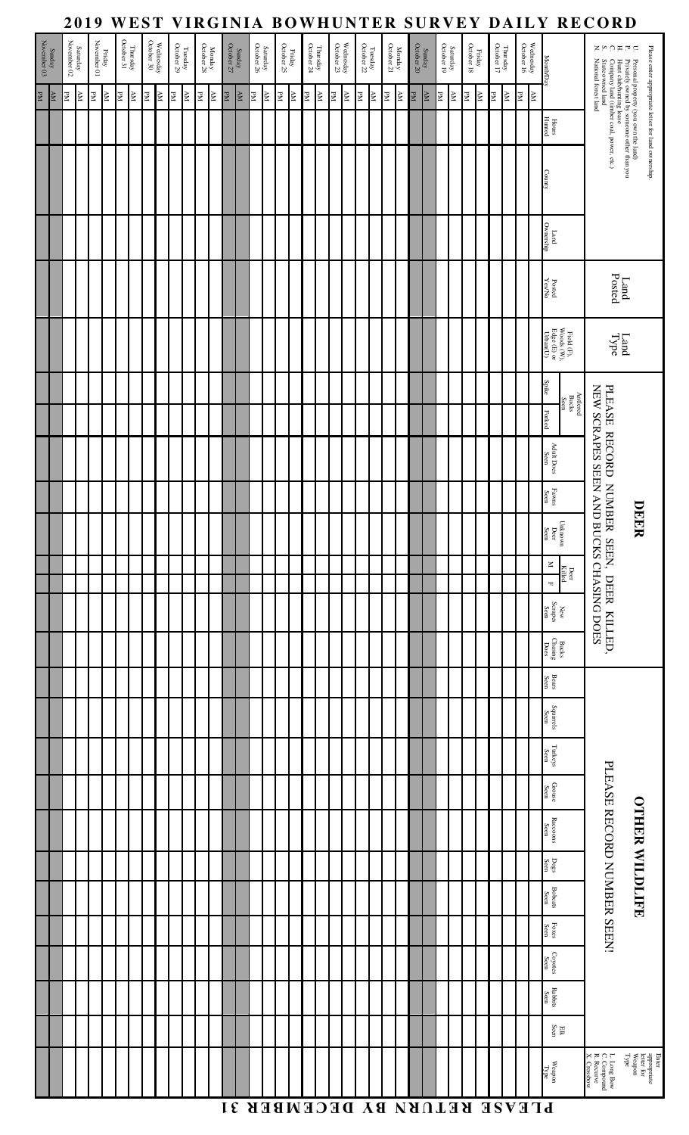|                  |                     |    | 2019                                                                    |    |                         |    |                        |                |                         |    |                                                |    |                               |    |                                           |                        |    |                      |    |                                                                     |    |                         |                                        |                |                           |    |                      |    |                         |                                  |                              |                                                                   |                |                         |           | WEST VIRGINIA BOWHUNTER SURVEY DAILY RECORD                                                                                                                                                                   |                                                                                                                                                                             |                                                      |
|------------------|---------------------|----|-------------------------------------------------------------------------|----|-------------------------|----|------------------------|----------------|-------------------------|----|------------------------------------------------|----|-------------------------------|----|-------------------------------------------|------------------------|----|----------------------|----|---------------------------------------------------------------------|----|-------------------------|----------------------------------------|----------------|---------------------------|----|----------------------|----|-------------------------|----------------------------------|------------------------------|-------------------------------------------------------------------|----------------|-------------------------|-----------|---------------------------------------------------------------------------------------------------------------------------------------------------------------------------------------------------------------|-----------------------------------------------------------------------------------------------------------------------------------------------------------------------------|------------------------------------------------------|
| November 03 $\,$ | Sunday              |    | $\begin{array}{c} \text{Structureay} \\ \text{November 02} \end{array}$ |    | Friday<br>November 01   |    | Thursday<br>October 31 |                | Wednesday<br>October 30 |    | $\frac{\Gamma \text{weak}}{\text{October 29}}$ |    | Monday<br>October 28          |    | $\frac{\text{Sunday}}{\text{October 27}}$ | Saturday<br>October 26 |    | Friday<br>October 25 |    | $\begin{array}{c} \mbox{Thus day} \\ \mbox{October 24} \end{array}$ |    | Wednesday<br>October 23 | ${\rm Tuesday} \atop {\rm October~22}$ |                | Monday<br>October 21      |    | Sunday<br>October 20 |    | Saturday<br>October 19  |                                  | $_{\rm Friday}^{\rm Friday}$ | $\begin{array}{c} {\rm Thus day} \\ {\rm October~17} \end{array}$ |                | Wednesday<br>October 16 |           | <b>MonthDay</b>                                                                                                                                                                                               | ZAOHFG                                                                                                                                                                      | Please enter appropriate letter for land ownership.  |
| N <sub>H</sub>   | $\Delta \mathbf{M}$ | PМ | K                                                                       | PМ | $\overline{\mathbb{R}}$ | PМ | $\mathbb N$            | $\mathbb{R}^N$ | $\overline{\mathbf{N}}$ | PМ | ${\bf AM}$                                     | PМ | $\overline{\text{K}\text{V}}$ | PМ | $\overline{\mathbf{N}}$                   | AM<br>R                | PM | $\mathbb N$          | EM | $\overline{\mathbf{x}}$                                             | PМ | NА                      | PМ                                     | $\mathbb{R}^N$ | $\frac{\Delta M}{\rm PM}$ | PМ | $_{\rm NN}$          | PМ | $\overline{\mathbf{K}}$ | $\ensuremath{\mathbb{R}}\xspace$ | $\Delta \mathbf{M}$          | PМ                                                                | $\mathbb{R}^N$ | PМ                      | <b>AM</b> |                                                                                                                                                                                                               |                                                                                                                                                                             |                                                      |
|                  |                     |    |                                                                         |    |                         |    |                        |                |                         |    |                                                |    |                               |    |                                           |                        |    |                      |    |                                                                     |    |                         |                                        |                |                           |    |                      |    |                         |                                  |                              |                                                                   |                |                         |           | Hours<br>Hunted                                                                                                                                                                                               |                                                                                                                                                                             |                                                      |
|                  |                     |    |                                                                         |    |                         |    |                        |                |                         |    |                                                |    |                               |    |                                           |                        |    |                      |    |                                                                     |    |                         |                                        |                |                           |    |                      |    |                         |                                  |                              |                                                                   |                |                         |           | <b>County</b>                                                                                                                                                                                                 | $P$ Fersonal property (you own the land)<br>Frivately owned by someone other than you<br>Company land (timer coal, power, etc.)<br>State owned land<br>National forest land |                                                      |
|                  |                     |    |                                                                         |    |                         |    |                        |                |                         |    |                                                |    |                               |    |                                           |                        |    |                      |    |                                                                     |    |                         |                                        |                |                           |    |                      |    |                         |                                  |                              |                                                                   |                |                         |           | Land<br>Ownership                                                                                                                                                                                             |                                                                                                                                                                             |                                                      |
|                  |                     |    |                                                                         |    |                         |    |                        |                |                         |    |                                                |    |                               |    |                                           |                        |    |                      |    |                                                                     |    |                         |                                        |                |                           |    |                      |    |                         |                                  |                              |                                                                   |                |                         |           | $_{\rm PesNlo}^{\rm Dord}$                                                                                                                                                                                    |                                                                                                                                                                             | Land<br>Posted                                       |
|                  |                     |    |                                                                         |    |                         |    |                        |                |                         |    |                                                |    |                               |    |                                           |                        |    |                      |    |                                                                     |    |                         |                                        |                |                           |    |                      |    |                         |                                  |                              |                                                                   |                |                         |           | $\begin{array}{l} \mathrm{Field} \left( \mathrm{F} \right), \\ \mathrm{Woods} \left( \mathrm{W} \right), \\ \mathrm{Edge} \left( \mathrm{E} \right) \, \mathrm{or} \\ \mathrm{Urban}(\mathrm{U}) \end{array}$ |                                                                                                                                                                             | Land<br>Type                                         |
|                  |                     |    |                                                                         |    |                         |    |                        |                |                         |    |                                                |    |                               |    |                                           |                        |    |                      |    |                                                                     |    |                         |                                        |                |                           |    |                      |    |                         |                                  |                              |                                                                   |                |                         |           | Spike                                                                                                                                                                                                         |                                                                                                                                                                             |                                                      |
|                  |                     |    |                                                                         |    |                         |    |                        |                |                         |    |                                                |    |                               |    |                                           |                        |    |                      |    |                                                                     |    |                         |                                        |                |                           |    |                      |    |                         |                                  |                              |                                                                   |                |                         |           | Antlered<br>Bucks<br>Seen<br>Forked                                                                                                                                                                           | NEW SCRAPES SEEN AND                                                                                                                                                        |                                                      |
|                  |                     |    |                                                                         |    |                         |    |                        |                |                         |    |                                                |    |                               |    |                                           |                        |    |                      |    |                                                                     |    |                         |                                        |                |                           |    |                      |    |                         |                                  |                              |                                                                   |                |                         |           | Adult Does<br>Seen                                                                                                                                                                                            |                                                                                                                                                                             |                                                      |
|                  |                     |    |                                                                         |    |                         |    |                        |                |                         |    |                                                |    |                               |    |                                           |                        |    |                      |    |                                                                     |    |                         |                                        |                |                           |    |                      |    |                         |                                  |                              |                                                                   |                |                         |           | Fawns<br>Seen                                                                                                                                                                                                 |                                                                                                                                                                             |                                                      |
|                  |                     |    |                                                                         |    |                         |    |                        |                |                         |    |                                                |    |                               |    |                                           |                        |    |                      |    |                                                                     |    |                         |                                        |                |                           |    |                      |    |                         |                                  |                              |                                                                   |                |                         |           | $\subset$<br>Jnknown<br>Deer<br>Seen                                                                                                                                                                          | PLEASE RECORD NUMBER SEEN, DEER                                                                                                                                             | DEER                                                 |
|                  |                     |    |                                                                         |    |                         |    |                        |                |                         |    |                                                |    |                               |    |                                           |                        |    |                      |    |                                                                     |    |                         |                                        |                |                           |    |                      |    |                         |                                  |                              |                                                                   |                |                         |           | $\mathbf x$<br>Deer<br>Killed<br>$\mathbb T$                                                                                                                                                                  |                                                                                                                                                                             |                                                      |
|                  |                     |    |                                                                         |    |                         |    |                        |                |                         |    |                                                |    |                               |    |                                           |                        |    |                      |    |                                                                     |    |                         |                                        |                |                           |    |                      |    |                         |                                  |                              |                                                                   |                |                         |           | $\begin{array}{c} {\rm New} \\ {\rm Scapes} \\ {\rm Qem} \end{array}$                                                                                                                                         | <b>BUCKS CHASING DOES</b>                                                                                                                                                   |                                                      |
|                  |                     |    |                                                                         |    |                         |    |                        |                |                         |    |                                                |    |                               |    |                                           |                        |    |                      |    |                                                                     |    |                         |                                        |                |                           |    |                      |    |                         |                                  |                              |                                                                   |                |                         |           | $\begin{array}{c} \text{Buck} \\ \text{Chasing} \\ \text{Does} \end{array}$                                                                                                                                   | KILLED,                                                                                                                                                                     |                                                      |
|                  |                     |    |                                                                         |    |                         |    |                        |                |                         |    |                                                |    |                               |    |                                           |                        |    |                      |    |                                                                     |    |                         |                                        |                |                           |    |                      |    |                         |                                  |                              |                                                                   |                |                         |           | Bears<br>Seen                                                                                                                                                                                                 |                                                                                                                                                                             |                                                      |
|                  |                     |    |                                                                         |    |                         |    |                        |                |                         |    |                                                |    |                               |    |                                           |                        |    |                      |    |                                                                     |    |                         |                                        |                |                           |    |                      |    |                         |                                  |                              |                                                                   |                |                         |           | $\begin{array}{c} \mbox{Squirels} \\ \mbox{Seen} \end{array}$                                                                                                                                                 |                                                                                                                                                                             |                                                      |
|                  |                     |    |                                                                         |    |                         |    |                        |                |                         |    |                                                |    |                               |    |                                           |                        |    |                      |    |                                                                     |    |                         |                                        |                |                           |    |                      |    |                         |                                  |                              |                                                                   |                |                         |           | ${\rm Tu} {\rm key} {\rm s}$ Seen                                                                                                                                                                             |                                                                                                                                                                             |                                                      |
|                  |                     |    |                                                                         |    |                         |    |                        |                |                         |    |                                                |    |                               |    |                                           |                        |    |                      |    |                                                                     |    |                         |                                        |                |                           |    |                      |    |                         |                                  |                              |                                                                   |                |                         |           | $\begin{array}{c} \textrm{Grouse} \\ \textrm{Sen} \end{array}$                                                                                                                                                | PLEASE RECORD NUMBER SEEN!                                                                                                                                                  |                                                      |
|                  |                     |    |                                                                         |    |                         |    |                        |                |                         |    |                                                |    |                               |    |                                           |                        |    |                      |    |                                                                     |    |                         |                                        |                |                           |    |                      |    |                         |                                  |                              |                                                                   |                |                         |           | ${\bf R} {\rm accons}$ Seen                                                                                                                                                                                   |                                                                                                                                                                             | <b>OTHER WILDLIFE</b>                                |
|                  |                     |    |                                                                         |    |                         |    |                        |                |                         |    |                                                |    |                               |    |                                           |                        |    |                      |    |                                                                     |    |                         |                                        |                |                           |    |                      |    |                         |                                  |                              |                                                                   |                |                         |           | $_{\mathrm{Des}}^{\mathrm{Dogs}}$                                                                                                                                                                             |                                                                                                                                                                             |                                                      |
|                  |                     |    |                                                                         |    |                         |    |                        |                |                         |    |                                                |    |                               |    |                                           |                        |    |                      |    |                                                                     |    |                         |                                        |                |                           |    |                      |    |                         |                                  |                              |                                                                   |                |                         |           | Bobcats<br>Seen                                                                                                                                                                                               |                                                                                                                                                                             |                                                      |
|                  |                     |    |                                                                         |    |                         |    |                        |                |                         |    |                                                |    |                               |    |                                           |                        |    |                      |    |                                                                     |    |                         |                                        |                |                           |    |                      |    |                         |                                  |                              |                                                                   |                |                         |           | $_{\mbox{Eocen}}$ Seen                                                                                                                                                                                        |                                                                                                                                                                             |                                                      |
|                  |                     |    |                                                                         |    |                         |    |                        |                |                         |    |                                                |    |                               |    |                                           |                        |    |                      |    |                                                                     |    |                         |                                        |                |                           |    |                      |    |                         |                                  |                              |                                                                   |                |                         |           | $\rm{Coyotes}$ . Seen                                                                                                                                                                                         |                                                                                                                                                                             |                                                      |
|                  |                     |    |                                                                         |    |                         |    |                        |                |                         |    |                                                |    |                               |    |                                           |                        |    |                      |    |                                                                     |    |                         |                                        |                |                           |    |                      |    |                         |                                  |                              |                                                                   |                |                         |           | Rabbits<br>Seen                                                                                                                                                                                               |                                                                                                                                                                             |                                                      |
|                  |                     |    |                                                                         |    |                         |    |                        |                |                         |    |                                                |    |                               |    |                                           |                        |    |                      |    |                                                                     |    |                         |                                        |                |                           |    |                      |    |                         |                                  |                              |                                                                   |                |                         |           | $_{\rm{EIR}}$ $_{\rm{Seen}}$                                                                                                                                                                                  |                                                                                                                                                                             |                                                      |
|                  |                     |    |                                                                         |    |                         |    |                        |                |                         |    |                                                |    |                               |    |                                           |                        |    |                      |    |                                                                     |    |                         |                                        |                |                           |    |                      |    |                         |                                  |                              |                                                                   |                |                         |           | $\begin{array}{c}\textrm{Weapon} \\ \textrm{Type} \end{array}$                                                                                                                                                | L. Long Bow<br>C. Compound<br>R. Recurve<br>X. Crossbow                                                                                                                     | Enter<br>appropriate<br>letter for<br>Weapon<br>Type |
|                  |                     |    |                                                                         |    |                         |    |                        |                |                         |    |                                                |    |                               |    |                                           |                        |    |                      |    |                                                                     |    |                         |                                        |                |                           |    |                      |    |                         | PLEASE RETURN BY DECEMBER 31     |                              |                                                                   |                |                         |           |                                                                                                                                                                                                               |                                                                                                                                                                             |                                                      |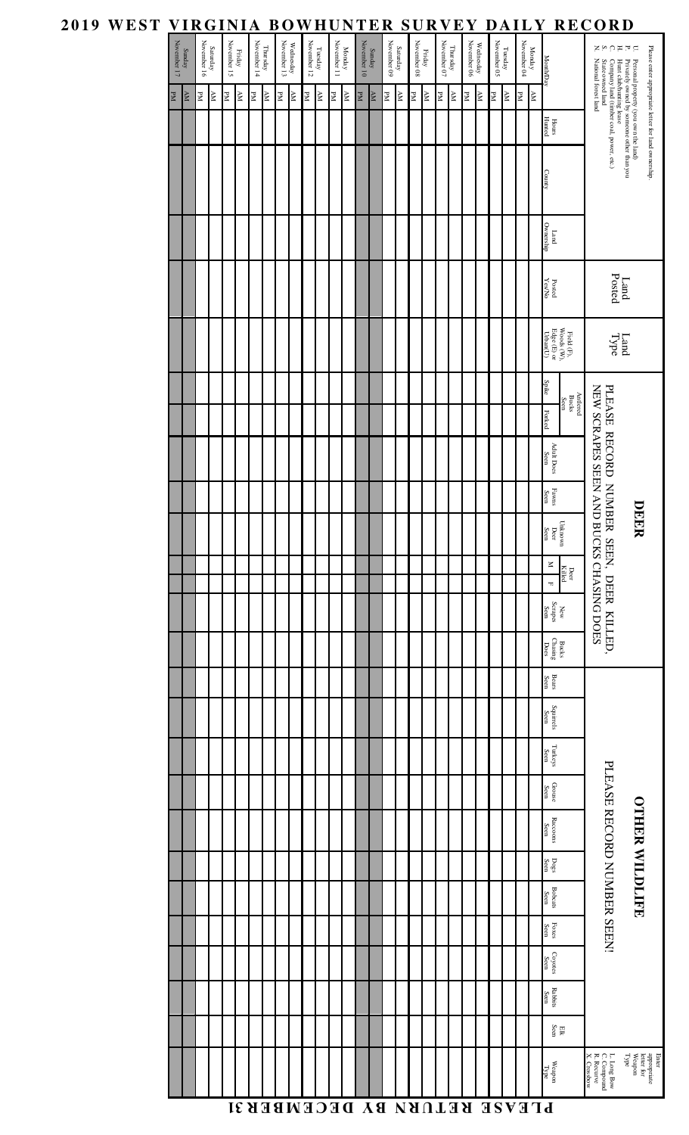| 2019 WEST VIRGINIA BOWHUNTER SURVEY DAILY RECORD |             |                        |                                                                      |    |                       |                     |                         |    |                       |                         |                                                                    |            |                       |                         |                       |            |                         |    |                       |                         |                                  |    |                                    |                         |                        |          |                       |             |                                                                                                                                                                                                            |                                                                                                                                                                         |                                                              |
|--------------------------------------------------|-------------|------------------------|----------------------------------------------------------------------|----|-----------------------|---------------------|-------------------------|----|-----------------------|-------------------------|--------------------------------------------------------------------|------------|-----------------------|-------------------------|-----------------------|------------|-------------------------|----|-----------------------|-------------------------|----------------------------------|----|------------------------------------|-------------------------|------------------------|----------|-----------------------|-------------|------------------------------------------------------------------------------------------------------------------------------------------------------------------------------------------------------------|-------------------------------------------------------------------------------------------------------------------------------------------------------------------------|--------------------------------------------------------------|
|                                                  | November 17 | Sunday                 | $\begin{array}{c} \text{Saturday} \\ \text{November 16} \end{array}$ |    | Friday<br>November 15 |                     | Thursday<br>November 14 |    | Wednesday November 13 |                         | $\begin{array}{c} \text{Tueday} \\ \text{November 12} \end{array}$ |            | Monday<br>November 11 |                         | Sunday<br>November 10 |            | Saturday<br>November 09 |    | Friday<br>November 08 |                         | Thursday $$\,$ November 07 $$\,$ |    | Wednesday<br>November 06           |                         | Tuesday<br>November 05 |          | Monday<br>November 04 |             | Month/Day                                                                                                                                                                                                  | コロコロット                                                                                                                                                                  | Please enter appropriate letter for land ownership.          |
|                                                  | PM          | $\mathbb{N}\mathbb{N}$ | PM                                                                   | NА | PМ                    | $\Delta \mathbf{M}$ | PМ                      | AM | PМ                    | $\overline{\mathbf{x}}$ | PМ                                                                 | ${\rm AM}$ | PМ                    | $\overline{\mathbf{K}}$ | $_{\rm PM}$           | ${\rm AM}$ | PМ                      | NА | PМ                    | $\overline{\mathbb{R}}$ | PМ                               | NА | PМ                                 | $\overline{\mathbb{R}}$ | PМ                     | NА<br>PМ |                       | $_{\rm AM}$ |                                                                                                                                                                                                            |                                                                                                                                                                         |                                                              |
|                                                  |             |                        |                                                                      |    |                       |                     |                         |    |                       |                         |                                                                    |            |                       |                         |                       |            |                         |    |                       |                         |                                  |    |                                    |                         |                        |          |                       |             | Hours<br>Hunted                                                                                                                                                                                            |                                                                                                                                                                         |                                                              |
|                                                  |             |                        |                                                                      |    |                       |                     |                         |    |                       |                         |                                                                    |            |                       |                         |                       |            |                         |    |                       |                         |                                  |    |                                    |                         |                        |          |                       |             | County                                                                                                                                                                                                     | Personal property (you own the kind)<br>Fivately owned by some<br>one other than you<br>Company land (timber coal, power, etc.)<br>State owned land<br>with forest land |                                                              |
|                                                  |             |                        |                                                                      |    |                       |                     |                         |    |                       |                         |                                                                    |            |                       |                         |                       |            |                         |    |                       |                         |                                  |    |                                    |                         |                        |          |                       |             | Land<br>Ownership                                                                                                                                                                                          |                                                                                                                                                                         |                                                              |
|                                                  |             |                        |                                                                      |    |                       |                     |                         |    |                       |                         |                                                                    |            |                       |                         |                       |            |                         |    |                       |                         |                                  |    |                                    |                         |                        |          |                       |             | $_{\rm PexNo}^{\rm Dord}$                                                                                                                                                                                  |                                                                                                                                                                         | Land<br>Posted                                               |
|                                                  |             |                        |                                                                      |    |                       |                     |                         |    |                       |                         |                                                                    |            |                       |                         |                       |            |                         |    |                       |                         |                                  |    |                                    |                         |                        |          |                       |             | $\begin{array}{l} \mathrm{Field} \left( \mathrm{F} \right), \\ \mathrm{Woods} \left( \mathrm{W} \right), \\ \mathrm{Edge} \left( \mathrm{E} \right) \mathrm{or} \\ \mathrm{Urban}(\mathrm{U}) \end{array}$ |                                                                                                                                                                         | Land<br>Type                                                 |
|                                                  |             |                        |                                                                      |    |                       |                     |                         |    |                       |                         |                                                                    |            |                       |                         |                       |            |                         |    |                       |                         |                                  |    |                                    |                         |                        |          |                       |             | Spike<br>Antlered<br>Bucks<br>Seen<br>Forked                                                                                                                                                               |                                                                                                                                                                         |                                                              |
|                                                  |             |                        |                                                                      |    |                       |                     |                         |    |                       |                         |                                                                    |            |                       |                         |                       |            |                         |    |                       |                         |                                  |    |                                    |                         |                        |          |                       |             | Adult Does<br>Seen                                                                                                                                                                                         | NEW SCRAPES SEEN AN<br>PLEASE RECORD NUMBER SEEN, DEER KILLED,                                                                                                          |                                                              |
|                                                  |             |                        |                                                                      |    |                       |                     |                         |    |                       |                         |                                                                    |            |                       |                         |                       |            |                         |    |                       |                         |                                  |    |                                    |                         |                        |          |                       |             | Fawns<br>Seen                                                                                                                                                                                              |                                                                                                                                                                         | $\blacksquare$                                               |
|                                                  |             |                        |                                                                      |    |                       |                     |                         |    |                       |                         |                                                                    |            |                       |                         |                       |            |                         |    |                       |                         |                                  |    |                                    |                         |                        |          |                       |             | Unknown<br>Deer<br>Seen                                                                                                                                                                                    |                                                                                                                                                                         | EER                                                          |
|                                                  |             |                        |                                                                      |    |                       |                     |                         |    |                       |                         |                                                                    |            |                       |                         |                       |            |                         |    |                       |                         |                                  |    |                                    |                         |                        |          |                       |             | $\leq$<br>Deer<br>Killed<br>$\blacksquare$                                                                                                                                                                 |                                                                                                                                                                         |                                                              |
|                                                  |             |                        |                                                                      |    |                       |                     |                         |    |                       |                         |                                                                    |            |                       |                         |                       |            |                         |    |                       |                         |                                  |    |                                    |                         |                        |          |                       |             | $\begin{array}{c} {\rm New} \\ {\rm Scapes} \end{array}$                                                                                                                                                   | D BUCKS CHASING DOES                                                                                                                                                    |                                                              |
|                                                  |             |                        |                                                                      |    |                       |                     |                         |    |                       |                         |                                                                    |            |                       |                         |                       |            |                         |    |                       |                         |                                  |    |                                    |                         |                        |          |                       |             | $\begin{array}{c} \text{Bucks} \\ \text{Chasing} \\ \text{Does} \end{array}$                                                                                                                               |                                                                                                                                                                         |                                                              |
|                                                  |             |                        |                                                                      |    |                       |                     |                         |    |                       |                         |                                                                    |            |                       |                         |                       |            |                         |    |                       |                         |                                  |    |                                    |                         |                        |          |                       |             | Bears<br>Seen                                                                                                                                                                                              |                                                                                                                                                                         |                                                              |
|                                                  |             |                        |                                                                      |    |                       |                     |                         |    |                       |                         |                                                                    |            |                       |                         |                       |            |                         |    |                       |                         |                                  |    |                                    |                         |                        |          |                       |             | $\begin{array}{c} \mbox{Squirels} \\ \mbox{Seen} \end{array}$                                                                                                                                              |                                                                                                                                                                         |                                                              |
|                                                  |             |                        |                                                                      |    |                       |                     |                         |    |                       |                         |                                                                    |            |                       |                         |                       |            |                         |    |                       |                         |                                  |    |                                    |                         |                        |          |                       |             | ${\rm Tu} {\rm key} {\rm s}$ Seen                                                                                                                                                                          |                                                                                                                                                                         |                                                              |
|                                                  |             |                        |                                                                      |    |                       |                     |                         |    |                       |                         |                                                                    |            |                       |                         |                       |            |                         |    |                       |                         |                                  |    |                                    |                         |                        |          |                       |             | $\rm{Grouse}$ $\rm{Seen}$                                                                                                                                                                                  | PLEASE RECORD NUMBER SEEN!                                                                                                                                              |                                                              |
|                                                  |             |                        |                                                                      |    |                       |                     |                         |    |                       |                         |                                                                    |            |                       |                         |                       |            |                         |    |                       |                         |                                  |    |                                    |                         |                        |          |                       |             | ${\bf R} {\rm accons}$ Seen                                                                                                                                                                                |                                                                                                                                                                         |                                                              |
|                                                  |             |                        |                                                                      |    |                       |                     |                         |    |                       |                         |                                                                    |            |                       |                         |                       |            |                         |    |                       |                         |                                  |    |                                    |                         |                        |          |                       |             | $_{\rm{Des}}^{\rm{Dogs}}$                                                                                                                                                                                  |                                                                                                                                                                         |                                                              |
|                                                  |             |                        |                                                                      |    |                       |                     |                         |    |                       |                         |                                                                    |            |                       |                         |                       |            |                         |    |                       |                         |                                  |    |                                    |                         |                        |          |                       |             | Bobcats<br>Seen                                                                                                                                                                                            |                                                                                                                                                                         | <b>OTHER WILDLIFE</b>                                        |
|                                                  |             |                        |                                                                      |    |                       |                     |                         |    |                       |                         |                                                                    |            |                       |                         |                       |            |                         |    |                       |                         |                                  |    |                                    |                         |                        |          |                       |             | $_{\mbox{Eocn}}$ Seen                                                                                                                                                                                      |                                                                                                                                                                         |                                                              |
|                                                  |             |                        |                                                                      |    |                       |                     |                         |    |                       |                         |                                                                    |            |                       |                         |                       |            |                         |    |                       |                         |                                  |    |                                    |                         |                        |          |                       |             | $\rm{Coyotes}$ . Seen                                                                                                                                                                                      |                                                                                                                                                                         |                                                              |
|                                                  |             |                        |                                                                      |    |                       |                     |                         |    |                       |                         |                                                                    |            |                       |                         |                       |            |                         |    |                       |                         |                                  |    |                                    |                         |                        |          |                       |             | Rabbits<br>Seen                                                                                                                                                                                            |                                                                                                                                                                         |                                                              |
|                                                  |             |                        |                                                                      |    |                       |                     |                         |    |                       |                         |                                                                    |            |                       |                         |                       |            |                         |    |                       |                         |                                  |    |                                    |                         |                        |          |                       |             | $_{\rm{EIR}}$ $_{\rm{Seen}}$                                                                                                                                                                               |                                                                                                                                                                         |                                                              |
|                                                  |             |                        |                                                                      |    |                       |                     |                         |    |                       |                         |                                                                    |            |                       |                         |                       |            |                         |    |                       |                         |                                  |    |                                    |                         |                        |          |                       |             | $\rm{Weapon}$<br>Type                                                                                                                                                                                      | L. Long Bow<br>C. Compound<br>R. Recurve<br>X. Crossbow                                                                                                                 | Enter<br>appropriate<br>letter for<br>Weapon<br>Type<br>Type |
|                                                  |             |                        |                                                                      |    |                       |                     |                         |    |                       |                         |                                                                    |            |                       |                         |                       |            |                         |    |                       |                         |                                  |    | <b>LEASE RETURN BY DECEMBER 31</b> |                         |                        |          |                       |             |                                                                                                                                                                                                            |                                                                                                                                                                         |                                                              |